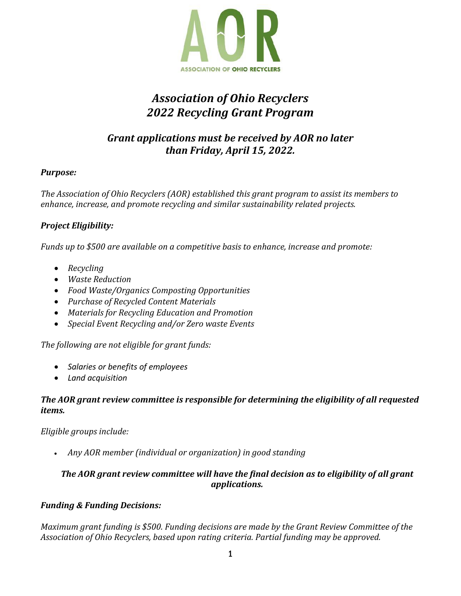

# *Association of Ohio Recyclers 2022 Recycling Grant Program*

# *Grant applications must be received by AOR no later than Friday, April 15, 2022.*

#### *Purpose:*

*The Association of Ohio Recyclers (AOR) established this grant program to assist its members to enhance, increase, and promote recycling and similar sustainability related projects.*

### *Project Eligibility:*

*Funds up to \$500 are available on a competitive basis to enhance, increase and promote:*

- *Recycling*
- *Waste Reduction*
- *Food Waste/Organics Composting Opportunities*
- *Purchase of Recycled Content Materials*
- *Materials for Recycling Education and Promotion*
- *Special Event Recycling and/or Zero waste Events*

*The following are not eligible for grant funds:*

- *Salaries or benefits of employees*
- *Land acquisition*

#### *The AOR grant review committee is responsible for determining the eligibility of all requested items.*

*Eligible groups include:*

• *Any AOR member (individual or organization) in good standing*

## *The AOR grant review committee will have the final decision as to eligibility of all grant applications.*

### *Funding & Funding Decisions:*

*Maximum grant funding is \$500. Funding decisions are made by the Grant Review Committee of the Association of Ohio Recyclers, based upon rating criteria. Partial funding may be approved.*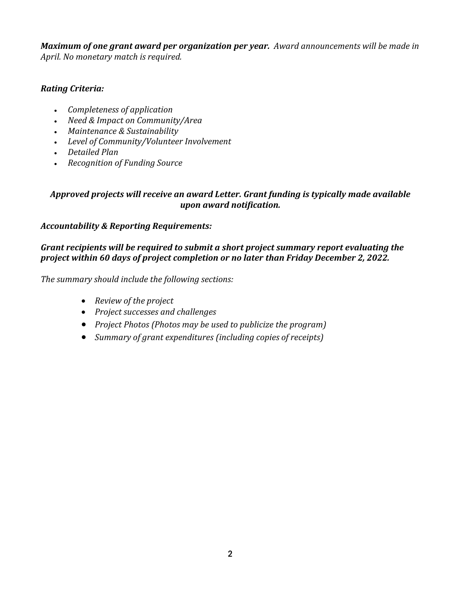*Maximum of one grant award per organization per year. Award announcements will be made in April. No monetary match is required.* 

### *Rating Criteria:*

- *Completeness of application*
- *Need & Impact on Community/Area*
- *Maintenance & Sustainability*
- *Level of Community/Volunteer Involvement*
- *Detailed Plan*
- *Recognition of Funding Source*

#### *Approved projects will receive an award Letter. Grant funding is typically made available upon award notification.*

#### *Accountability & Reporting Requirements:*

#### *Grant recipients will be required to submit a short project summary report evaluating the project within 60 days of project completion or no later than Friday December 2, 2022.*

*The summary should include the following sections:* 

- *Review of the project*
- *Project successes and challenges*
- *Project Photos (Photos may be used to publicize the program)*
- *Summary of grant expenditures (including copies of receipts)*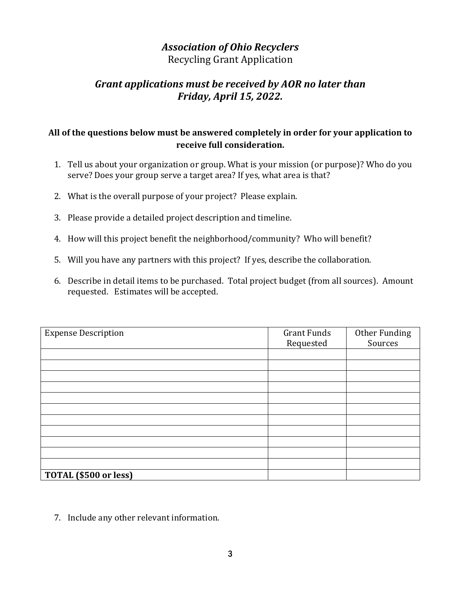# *Association of Ohio Recyclers*

Recycling Grant Application

# *Grant applications must be received by AOR no later than Friday, April 15, 2022.*

# **All of the questions below must be answered completely in order for your application to receive full consideration.**

- 1. Tell us about your organization or group. What is your mission (or purpose)? Who do you serve? Does your group serve a target area? If yes, what area is that?
- 2. What is the overall purpose of your project? Please explain.
- 3. Please provide a detailed project description and timeline.
- 4. How will this project benefit the neighborhood/community? Who will benefit?
- 5. Will you have any partners with this project? If yes, describe the collaboration.
- 6. Describe in detail items to be purchased. Total project budget (from all sources). Amount requested. Estimates will be accepted.

| <b>Expense Description</b> | <b>Grant Funds</b> | Other Funding |
|----------------------------|--------------------|---------------|
|                            | Requested          | Sources       |
|                            |                    |               |
|                            |                    |               |
|                            |                    |               |
|                            |                    |               |
|                            |                    |               |
|                            |                    |               |
|                            |                    |               |
|                            |                    |               |
|                            |                    |               |
|                            |                    |               |
|                            |                    |               |
| TOTAL (\$500 or less)      |                    |               |

7. Include any other relevant information.